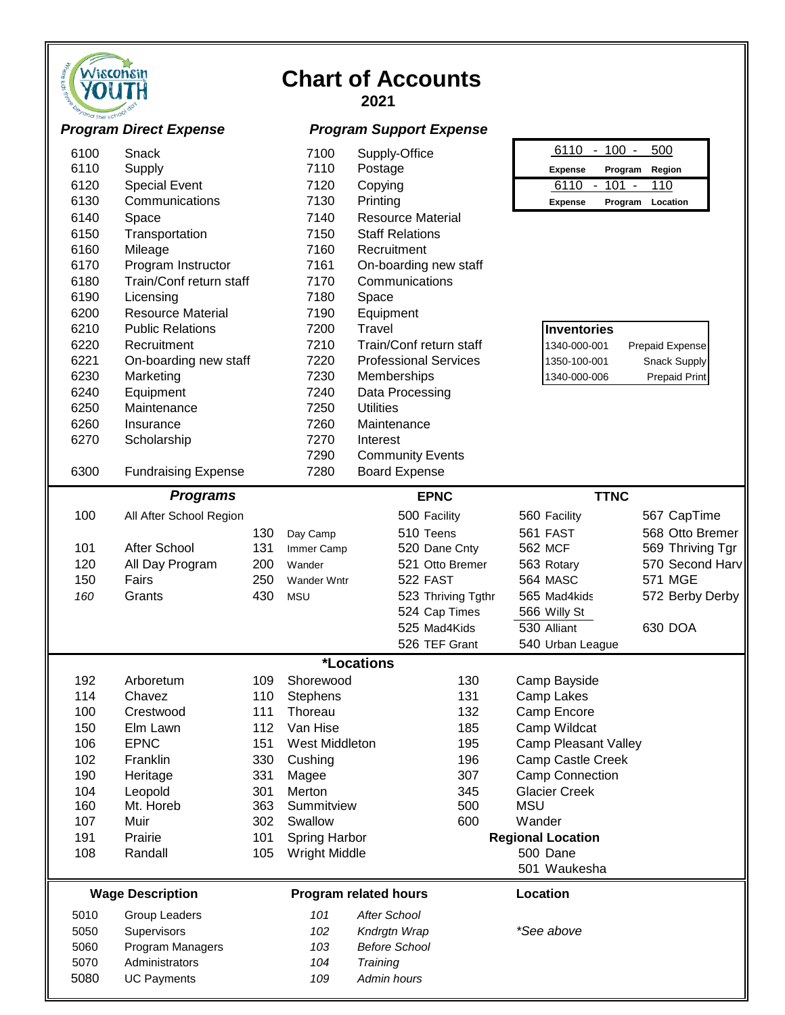| There kids third <sup>ock</sup><br>he school dot |
|--------------------------------------------------|
|--------------------------------------------------|

# **Chart of Accounts**

| ond the school | <b>Program Direct Expense</b> |            |                     | <b>Program Support Expense</b> |                                                  |                  |
|----------------|-------------------------------|------------|---------------------|--------------------------------|--------------------------------------------------|------------------|
| 6100           | Snack                         |            | 7100                | Supply-Office                  | $6110 - 100 -$                                   | 500              |
| 6110           | Supply                        |            | 7110                | Postage                        | <b>Expense</b><br>Program                        | Region           |
| 6120           | <b>Special Event</b>          |            | 7120                | Copying                        | 6110<br>$101 -$<br>$\blacksquare$                | 110              |
| 6130           | Communications                |            | 7130                | Printing                       | <b>Expense</b>                                   | Program Location |
| 6140           | Space                         |            | 7140                | <b>Resource Material</b>       |                                                  |                  |
| 6150           | Transportation                |            | 7150                | <b>Staff Relations</b>         |                                                  |                  |
| 6160           | Mileage                       |            | 7160                | Recruitment                    |                                                  |                  |
| 6170           | Program Instructor            |            | 7161                | On-boarding new staff          |                                                  |                  |
| 6180           | Train/Conf return staff       |            | 7170                | Communications                 |                                                  |                  |
| 6190           | Licensing                     |            | 7180                | Space                          |                                                  |                  |
| 6200           | <b>Resource Material</b>      |            | 7190                | Equipment                      |                                                  |                  |
| 6210           | <b>Public Relations</b>       |            | 7200                | Travel                         | <b>Inventories</b>                               |                  |
| 6220           | Recruitment                   |            | 7210                | Train/Conf return staff        | 1340-000-001                                     | Prepaid Expense  |
| 6221           | On-boarding new staff         |            | 7220                | <b>Professional Services</b>   | 1350-100-001                                     | Snack Supply     |
| 6230           | Marketing                     |            | 7230                | Memberships                    | 1340-000-006                                     | Prepaid Print    |
| 6240           | Equipment                     |            | 7240                | Data Processing                |                                                  |                  |
| 6250           | Maintenance                   |            | 7250                | <b>Utilities</b>               |                                                  |                  |
| 6260           | Insurance                     |            | 7260                | Maintenance                    |                                                  |                  |
| 6270           | Scholarship                   |            | 7270                | Interest                       |                                                  |                  |
|                |                               |            | 7290                | <b>Community Events</b>        |                                                  |                  |
| 6300           | <b>Fundraising Expense</b>    |            | 7280                | <b>Board Expense</b>           |                                                  |                  |
|                | <b>Programs</b>               |            |                     | <b>EPNC</b>                    | <b>TTNC</b>                                      |                  |
| 100            | All After School Region       |            |                     | 500 Facility                   | 560 Facility                                     | 567 CapTime      |
|                |                               | 130        | Day Camp            | 510 Teens                      | 561 FAST                                         | 568 Otto Bremer  |
| 101            | After School                  | 131        | Immer Camp          | 520 Dane Cnty                  | <b>562 MCF</b>                                   | 569 Thriving Tgr |
| 120            | All Day Program               | 200        | Wander              | 521 Otto Bremer                | 563 Rotary                                       | 570 Second Harv  |
| 150            | Fairs                         | 250        | <b>Wander Wntr</b>  | 522 FAST                       | 564 MASC                                         | 571 MGE          |
| 160            | Grants                        | 430        | <b>MSU</b>          | 523 Thriving Tgthr             | 565 Mad4kids                                     | 572 Berby Derby  |
|                |                               |            |                     | 524 Cap Times                  | 566 Willy St                                     |                  |
|                |                               |            |                     | 525 Mad4Kids                   | 530 Alliant                                      | 630 DOA          |
|                |                               |            |                     | 526 TEF Grant                  | 540 Urban League                                 |                  |
|                |                               |            |                     | <i><b>*Locations</b></i>       |                                                  |                  |
| 192            | Arboretum                     | 109        | Shorewood           | 130                            | Camp Bayside                                     |                  |
| 114            | Chavez                        | 110        | Stephens            | 131                            | Camp Lakes                                       |                  |
| 100            | Crestwood                     | 111        | Thoreau<br>Van Hise | 132                            | Camp Encore                                      |                  |
| 150<br>106     | Elm Lawn<br><b>EPNC</b>       | 112<br>151 | West Middleton      | 185<br>195                     | Camp Wildcat                                     |                  |
| 102            | Franklin                      | 330        | Cushing             | 196                            | Camp Pleasant Valley<br><b>Camp Castle Creek</b> |                  |
| 190            | Heritage                      | 331        |                     | 307                            | <b>Camp Connection</b>                           |                  |
| 104            | Leopold                       | 301        | Magee<br>Merton     | 345                            | <b>Glacier Creek</b>                             |                  |
| 160            | Mt. Horeb                     | 363        | Summitview          | 500                            | <b>MSU</b>                                       |                  |
| 107            | Muir                          | 302        | Swallow             | 600                            | Wander                                           |                  |
| 191            | Prairie                       | 101        | Spring Harbor       |                                | <b>Regional Location</b>                         |                  |
| 108            | Randall                       | 105        | Wright Middle       |                                | 500 Dane                                         |                  |
|                |                               |            |                     |                                | 501 Waukesha                                     |                  |
|                | <b>Wage Description</b>       |            |                     | <b>Program related hours</b>   | Location                                         |                  |
| 5010           | Group Leaders                 |            | 101                 | <b>After School</b>            |                                                  |                  |
| 5050           | Supervisors                   |            | 102                 | Kndrgtn Wrap                   | *See above                                       |                  |
| 5060           | Program Managers              |            | 103                 | <b>Before School</b>           |                                                  |                  |
| 5070           | Administrators                |            | 104                 | Training                       |                                                  |                  |
| 5080           | <b>UC Payments</b>            |            | 109                 | Admin hours                    |                                                  |                  |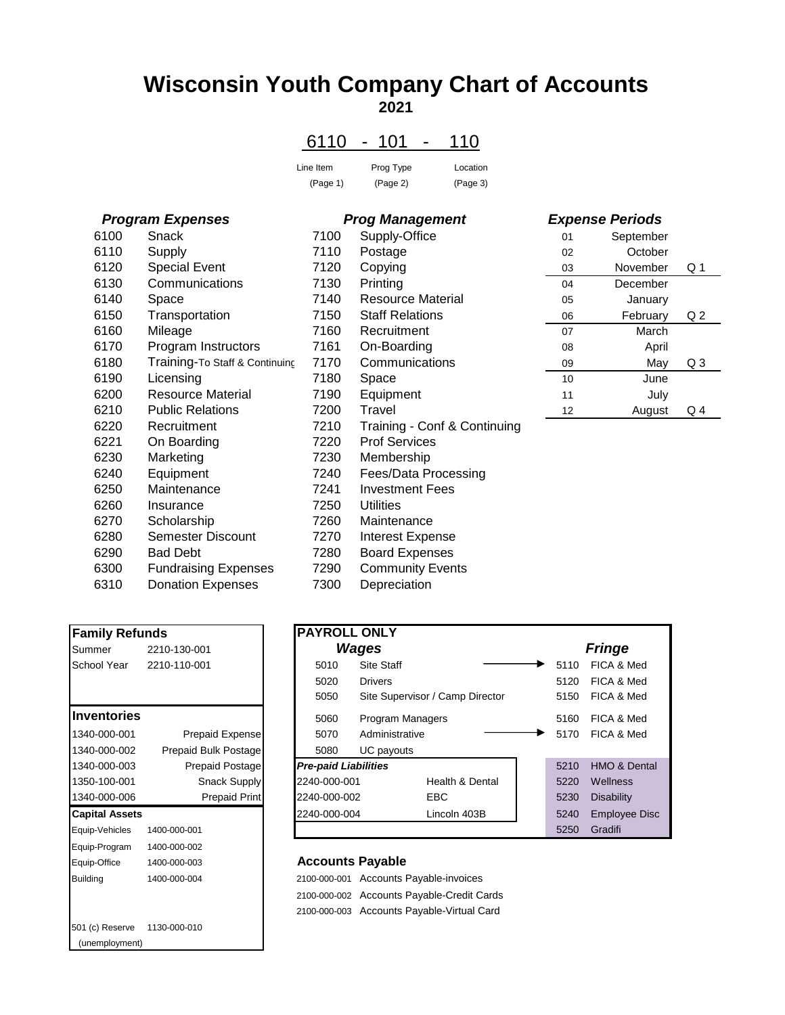# **Wisconsin Youth Company Chart of Accounts 2021**

### 6110 - 101 - 110

| Line Item | Prog Type | Location |
|-----------|-----------|----------|
| (Page 1)  | (Page 2)  | (Page 3) |

#### *Program Expenses Prog Management*

| 6100 | Snack                          | 7100 | Supply-Office            |
|------|--------------------------------|------|--------------------------|
| 6110 | Supply                         | 7110 | Postage                  |
| 6120 | <b>Special Event</b>           | 7120 | Copying                  |
| 6130 | Communications                 | 7130 | Printing                 |
| 6140 | Space                          | 7140 | <b>Resource Material</b> |
| 6150 | Transportation                 | 7150 | <b>Staff Relations</b>   |
| 6160 | Mileage                        | 7160 | Recruitment              |
| 6170 | Program Instructors            | 7161 | On-Boarding              |
| 6180 | Training-To Staff & Continuing | 7170 | Communications           |
| 6190 | Licensing                      | 7180 | Space                    |
| 6200 | <b>Resource Material</b>       | 7190 | Equipment                |
| 6210 | <b>Public Relations</b>        | 7200 | Travel                   |
| 6220 | Recruitment                    | 7210 | Training - Conf & Cont   |
| 6221 | On Boarding                    | 7220 | <b>Prof Services</b>     |
| 6230 | Marketing                      | 7230 | Membership               |
| 6240 | Equipment                      | 7240 | Fees/Data Processing     |
| 6250 | Maintenance                    | 7241 | <b>Investment Fees</b>   |
| 6260 | Insurance                      | 7250 | <b>Utilities</b>         |
| 6270 | Scholarship                    | 7260 | Maintenance              |
| 6280 | <b>Semester Discount</b>       | 7270 | Interest Expense         |
| 6290 | <b>Bad Debt</b>                | 7280 | <b>Board Expenses</b>    |
| 6300 | <b>Fundraising Expenses</b>    | 7290 | <b>Community Events</b>  |
| 6310 | <b>Donation Expenses</b>       | 7300 | Depreciation             |
|      |                                |      |                          |

| <b>Family Refunds</b>        |                          | <b>PAYROLL ONLY</b>         |                          |
|------------------------------|--------------------------|-----------------------------|--------------------------|
| Summer                       | 2210-130-001             |                             | Wages                    |
|                              | School Year 2210-110-001 | 5010                        | Site Staff               |
|                              |                          | 5020                        | <b>Drivers</b>           |
|                              |                          | 5050                        | Site Superv              |
| <b>Inventories</b>           |                          | 5060                        | Program Ma               |
| 1340-000-001                 | Prepaid Expense          | 5070                        | Administrati             |
| 1340-000-002                 | Prepaid Bulk Postage     | 5080                        | UC payouts               |
| 1340-000-003                 | Prepaid Postage          | <b>Pre-paid Liabilities</b> |                          |
| 1350-100-001                 | Snack Supply             | 2240-000-001                |                          |
| 1340-000-006                 | <b>Prepaid Print</b>     | 2240-000-002                |                          |
| <b>Capital Assets</b>        |                          | 2240-000-004                |                          |
| Equip-Vehicles               | 1400-000-001             |                             |                          |
| Equip-Program 1400-000-002   |                          |                             |                          |
| Equip-Office                 | 1400-000-003             |                             | <b>Accounts Payable</b>  |
| <b>Building</b>              | 1400-000-004             | 2100-000-001                | Accounts P               |
|                              |                          |                             | 2100-000-002 Accounts Pa |
|                              |                          |                             | 2100-000-003 Accounts Pa |
| 501 (c) Reserve 1130-000-010 |                          |                             |                          |
| (unemployment)               |                          |                             |                          |

|      | $110$ gram Laponsos            |      | т год танадынын              |    | рурсное геномо |                |
|------|--------------------------------|------|------------------------------|----|----------------|----------------|
| 6100 | Snack                          | 7100 | Supply-Office                | 01 | September      |                |
| 6110 | Supply                         | 7110 | Postage                      | 02 | October        |                |
| 6120 | <b>Special Event</b>           | 7120 | Copying                      | 03 | November       | Q <sub>1</sub> |
| 6130 | Communications                 | 7130 | Printing                     | 04 | December       |                |
| 6140 | Space                          | 7140 | <b>Resource Material</b>     | 05 | January        |                |
| 6150 | Transportation                 | 7150 | <b>Staff Relations</b>       | 06 | February       | Q <sub>2</sub> |
| 6160 | Mileage                        | 7160 | Recruitment                  | 07 | March          |                |
| 6170 | Program Instructors            | 7161 | On-Boarding                  | 08 | April          |                |
| 6180 | Training-To Staff & Continuing | 7170 | Communications               | 09 | May            | Q <sub>3</sub> |
| 6190 | Licensing                      | 7180 | Space                        | 10 | June           |                |
| 6200 | Resource Material              | 7190 | Equipment                    | 11 | July           |                |
| 6210 | <b>Public Relations</b>        | 7200 | Travel                       | 12 | August         | Q <sub>4</sub> |
| 6220 | Recruitment                    | 7210 | Training - Conf & Continuing |    |                |                |
| 6221 | On Boarding                    | 7220 | <b>Prof Services</b>         |    |                |                |
| 6230 | Marketing                      | 7230 | Membership                   |    |                |                |
| 6240 | Equipment                      | 7240 | Fees/Data Processing         |    |                |                |
| 6250 | Maintenance                    | 7241 | <b>Investment Fees</b>       |    |                |                |
| 6260 | Insurance                      | 7250 | <b>Utilities</b>             |    |                |                |
| 6270 | Scholarship                    | 7260 | Maintenance                  |    |                |                |
| 6280 | Semester Discount              | 7270 | <b>Interest Expense</b>      |    |                |                |
| 6290 | <b>Bad Debt</b>                | 7280 | <b>Board Expenses</b>        |    |                |                |
| 6300 | <b>Fundraising Expenses</b>    | 7290 | <b>Community Events</b>      |    |                |                |
| 6310 | <b>Donation Expenses</b>       | 7300 | Depreciation                 |    |                |                |

# *Expense Periods* 01 September

| υə | IJUVUIIIDUI | ا يب   |  |
|----|-------------|--------|--|
| 04 | December    |        |  |
| 05 | January     |        |  |
| 06 | February    | Q 2    |  |
| 07 | March       |        |  |
| 08 | April       |        |  |
| 09 | May         | Q3     |  |
| 10 | June        |        |  |
| 11 | July        |        |  |
| 12 | August      | 4<br>Q |  |

| <b>Family Refunds</b> |                        | <b>PAYROLL ONLY</b>         |                         |                                 |      |                      |
|-----------------------|------------------------|-----------------------------|-------------------------|---------------------------------|------|----------------------|
| Summer                | 2210-130-001           |                             | <b>Wages</b>            |                                 |      | <b>Fringe</b>        |
| School Year           | 2210-110-001           | 5010                        | <b>Site Staff</b>       |                                 | 5110 | FICA & Med           |
|                       |                        | 5020                        | <b>Drivers</b>          |                                 | 5120 | FICA & Med           |
|                       |                        | 5050                        |                         | Site Supervisor / Camp Director | 5150 | FICA & Med           |
| <b>Inventories</b>    |                        | 5060                        | <b>Program Managers</b> |                                 | 5160 | FICA & Med           |
| 1340-000-001          | <b>Prepaid Expense</b> | 5070                        | Administrative          |                                 | 5170 | FICA & Med           |
| 1340-000-002          | Prepaid Bulk Postage   | 5080                        | UC payouts              |                                 |      |                      |
| 1340-000-003          | <b>Prepaid Postage</b> | <b>Pre-paid Liabilities</b> |                         |                                 | 5210 | HMO & Dental         |
| 1350-100-001          | <b>Snack Supply</b>    | 2240-000-001                |                         | <b>Health &amp; Dental</b>      | 5220 | <b>Wellness</b>      |
| 1340-000-006          | Prepaid Print          | 2240-000-002                |                         | EBC.                            | 5230 | <b>Disability</b>    |
| <b>Capital Assets</b> |                        | 2240-000-004                |                         | Lincoln 403B                    | 5240 | <b>Employee Disc</b> |
| Equip-Vehicles        | 1400-000-001           |                             |                         |                                 | 5250 | Gradifi              |

#### **Accounts Payable**

2100-000-001 Accounts Payable-invoices 2100-000-002 Accounts Payable-Credit Cards 2100-000-003 Accounts Payable-Virtual Card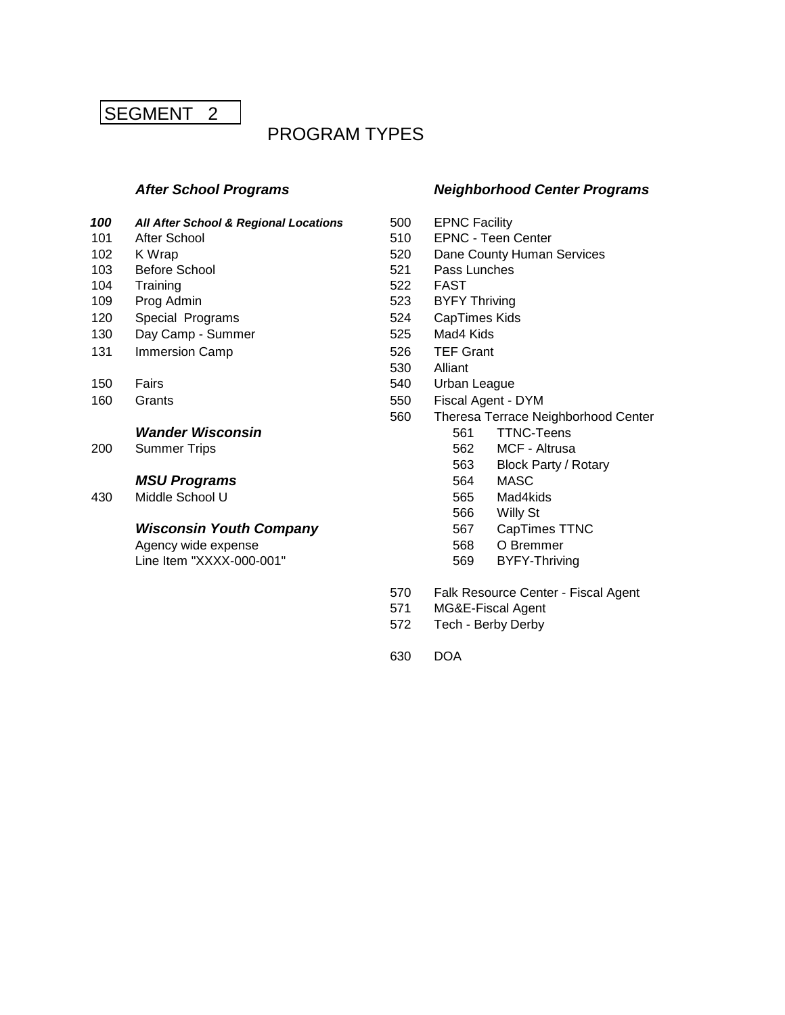# SEGMENT<sub>2</sub>

# PROGRAM TYPES

- 100 **All After School & Regional Locations** 500 **EPNC Facility**
- 
- 
- 103 Before School 621 Pass Lunches
- 
- 
- 
- 
- 
- 

#### **Wander Wisconsin 1988 Wander Wisconsin 561 TTNC-Teens**

200 Summer Trips **562** MCF - Altrusa

#### **MSU Programs** 564 MASC

430 Middle School U 565 Mad4kids

#### **Wisconsin Youth Company** 567 CapTimes TTNC

Agency wide expense 568 O Bremmer  $Line$  Item "XXXX-000-001"  $569$ 

#### *After School Programs Neighborhood Center Programs*

- 
- 101 After School 510 EPNC Teen Center
- 102 K Wrap **102 K** Wrap **102 K** Wrap **520 Dane County Human Services** 
	-
- 104 Training **522 FAST**
- 109 Prog Admin 623 BYFY Thriving
- 120 Special Programs 624 CapTimes Kids
- 130 Day Camp Summer 525 Mad4 Kids
- 131 Immersion Camp 526 TEF Grant
	- 530 Alliant
- 150 Fairs **Fairs** 540 Urban League
- 160 Grants 60 Grants 550 Fiscal Agent DYM
	- 560 Theresa Terrace Neighborhood Center
		-
		-
		- 563 Block Party / Rotary
		-
		-
		- 566 Willy St
		-
		-
		-
	- 570 Falk Resource Center Fiscal Agent
	- 571 MG&E-Fiscal Agent
	- 572 Tech Berby Derby
	- 630 DOA